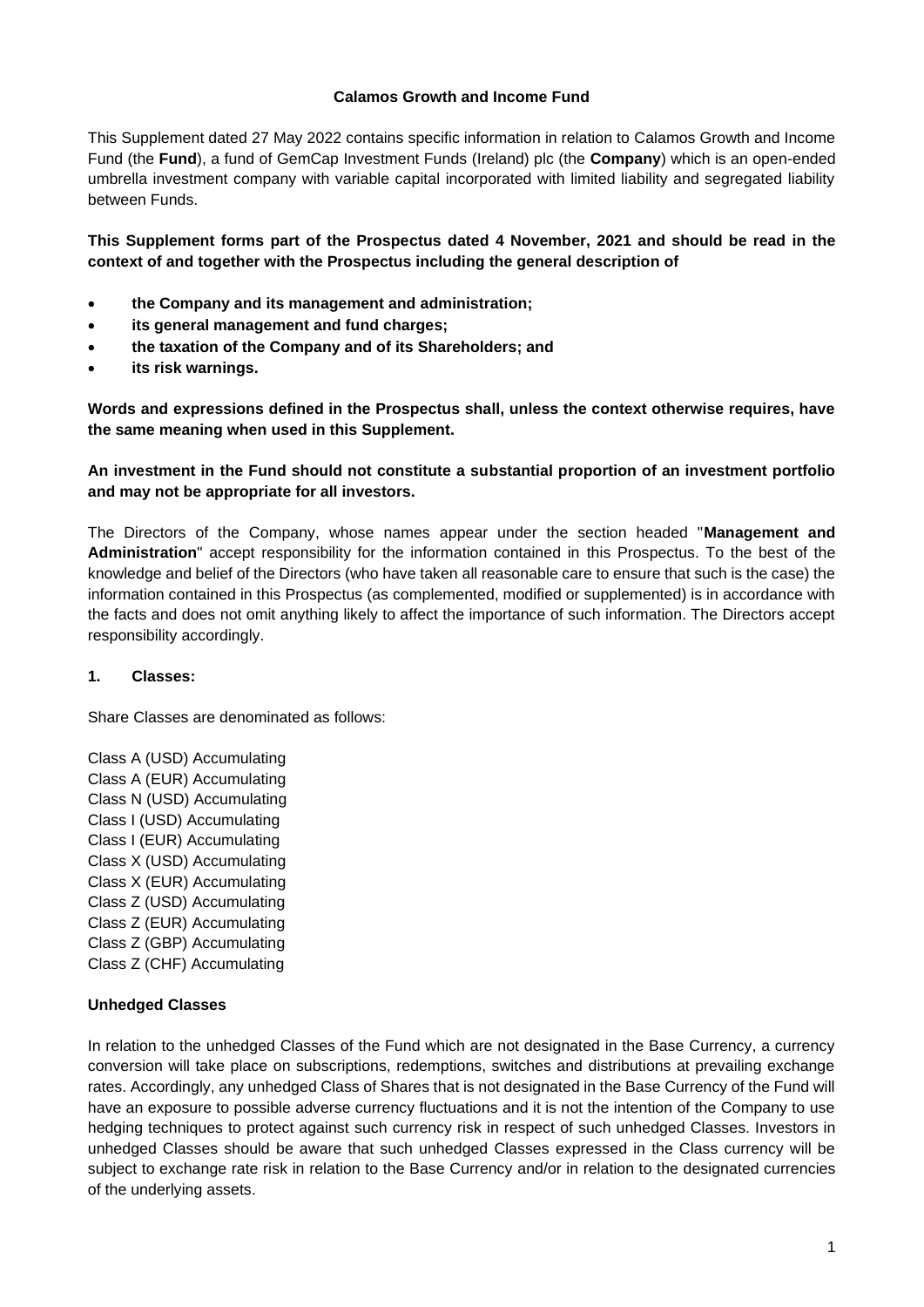#### **Calamos Growth and Income Fund**

This Supplement dated 27 May 2022 contains specific information in relation to Calamos Growth and Income Fund (the **Fund**), a fund of GemCap Investment Funds (Ireland) plc (the **Company**) which is an open-ended umbrella investment company with variable capital incorporated with limited liability and segregated liability between Funds.

**This Supplement forms part of the Prospectus dated 4 November, 2021 and should be read in the context of and together with the Prospectus including the general description of**

- **the Company and its management and administration;**
- **its general management and fund charges;**
- **the taxation of the Company and of its Shareholders; and**
- **its risk warnings.**

**Words and expressions defined in the Prospectus shall, unless the context otherwise requires, have the same meaning when used in this Supplement.**

## **An investment in the Fund should not constitute a substantial proportion of an investment portfolio and may not be appropriate for all investors.**

The Directors of the Company, whose names appear under the section headed "**Management and Administration**" accept responsibility for the information contained in this Prospectus. To the best of the knowledge and belief of the Directors (who have taken all reasonable care to ensure that such is the case) the information contained in this Prospectus (as complemented, modified or supplemented) is in accordance with the facts and does not omit anything likely to affect the importance of such information. The Directors accept responsibility accordingly.

## **1. Classes:**

Share Classes are denominated as follows:

Class A (USD) Accumulating Class A (EUR) Accumulating Class N (USD) Accumulating Class I (USD) Accumulating Class I (EUR) Accumulating Class X (USD) Accumulating Class X (EUR) Accumulating Class Z (USD) Accumulating Class Z (EUR) Accumulating Class Z (GBP) Accumulating Class Z (CHF) Accumulating

## **Unhedged Classes**

In relation to the unhedged Classes of the Fund which are not designated in the Base Currency, a currency conversion will take place on subscriptions, redemptions, switches and distributions at prevailing exchange rates. Accordingly, any unhedged Class of Shares that is not designated in the Base Currency of the Fund will have an exposure to possible adverse currency fluctuations and it is not the intention of the Company to use hedging techniques to protect against such currency risk in respect of such unhedged Classes. Investors in unhedged Classes should be aware that such unhedged Classes expressed in the Class currency will be subject to exchange rate risk in relation to the Base Currency and/or in relation to the designated currencies of the underlying assets.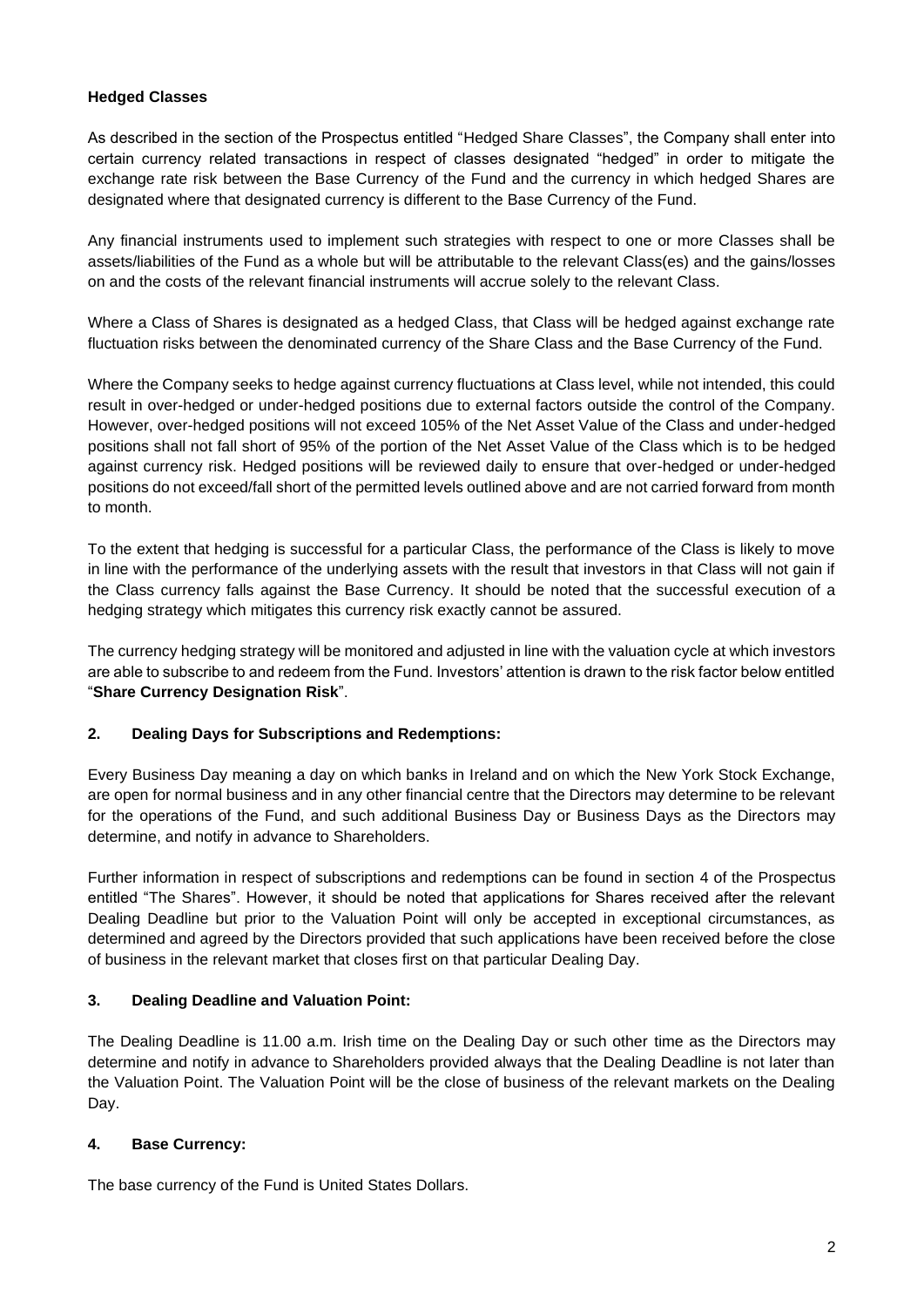## **Hedged Classes**

As described in the section of the Prospectus entitled "Hedged Share Classes", the Company shall enter into certain currency related transactions in respect of classes designated "hedged" in order to mitigate the exchange rate risk between the Base Currency of the Fund and the currency in which hedged Shares are designated where that designated currency is different to the Base Currency of the Fund.

Any financial instruments used to implement such strategies with respect to one or more Classes shall be assets/liabilities of the Fund as a whole but will be attributable to the relevant Class(es) and the gains/losses on and the costs of the relevant financial instruments will accrue solely to the relevant Class.

Where a Class of Shares is designated as a hedged Class, that Class will be hedged against exchange rate fluctuation risks between the denominated currency of the Share Class and the Base Currency of the Fund.

Where the Company seeks to hedge against currency fluctuations at Class level, while not intended, this could result in over-hedged or under-hedged positions due to external factors outside the control of the Company. However, over-hedged positions will not exceed 105% of the Net Asset Value of the Class and under-hedged positions shall not fall short of 95% of the portion of the Net Asset Value of the Class which is to be hedged against currency risk. Hedged positions will be reviewed daily to ensure that over-hedged or under-hedged positions do not exceed/fall short of the permitted levels outlined above and are not carried forward from month to month.

To the extent that hedging is successful for a particular Class, the performance of the Class is likely to move in line with the performance of the underlying assets with the result that investors in that Class will not gain if the Class currency falls against the Base Currency. It should be noted that the successful execution of a hedging strategy which mitigates this currency risk exactly cannot be assured.

The currency hedging strategy will be monitored and adjusted in line with the valuation cycle at which investors are able to subscribe to and redeem from the Fund. Investors' attention is drawn to the risk factor below entitled "**Share Currency Designation Risk**".

# **2. Dealing Days for Subscriptions and Redemptions:**

Every Business Day meaning a day on which banks in Ireland and on which the New York Stock Exchange, are open for normal business and in any other financial centre that the Directors may determine to be relevant for the operations of the Fund, and such additional Business Day or Business Days as the Directors may determine, and notify in advance to Shareholders.

Further information in respect of subscriptions and redemptions can be found in section 4 of the Prospectus entitled "The Shares". However, it should be noted that applications for Shares received after the relevant Dealing Deadline but prior to the Valuation Point will only be accepted in exceptional circumstances, as determined and agreed by the Directors provided that such applications have been received before the close of business in the relevant market that closes first on that particular Dealing Day.

# **3. Dealing Deadline and Valuation Point:**

The Dealing Deadline is 11.00 a.m. Irish time on the Dealing Day or such other time as the Directors may determine and notify in advance to Shareholders provided always that the Dealing Deadline is not later than the Valuation Point. The Valuation Point will be the close of business of the relevant markets on the Dealing Day.

# **4. Base Currency:**

The base currency of the Fund is United States Dollars.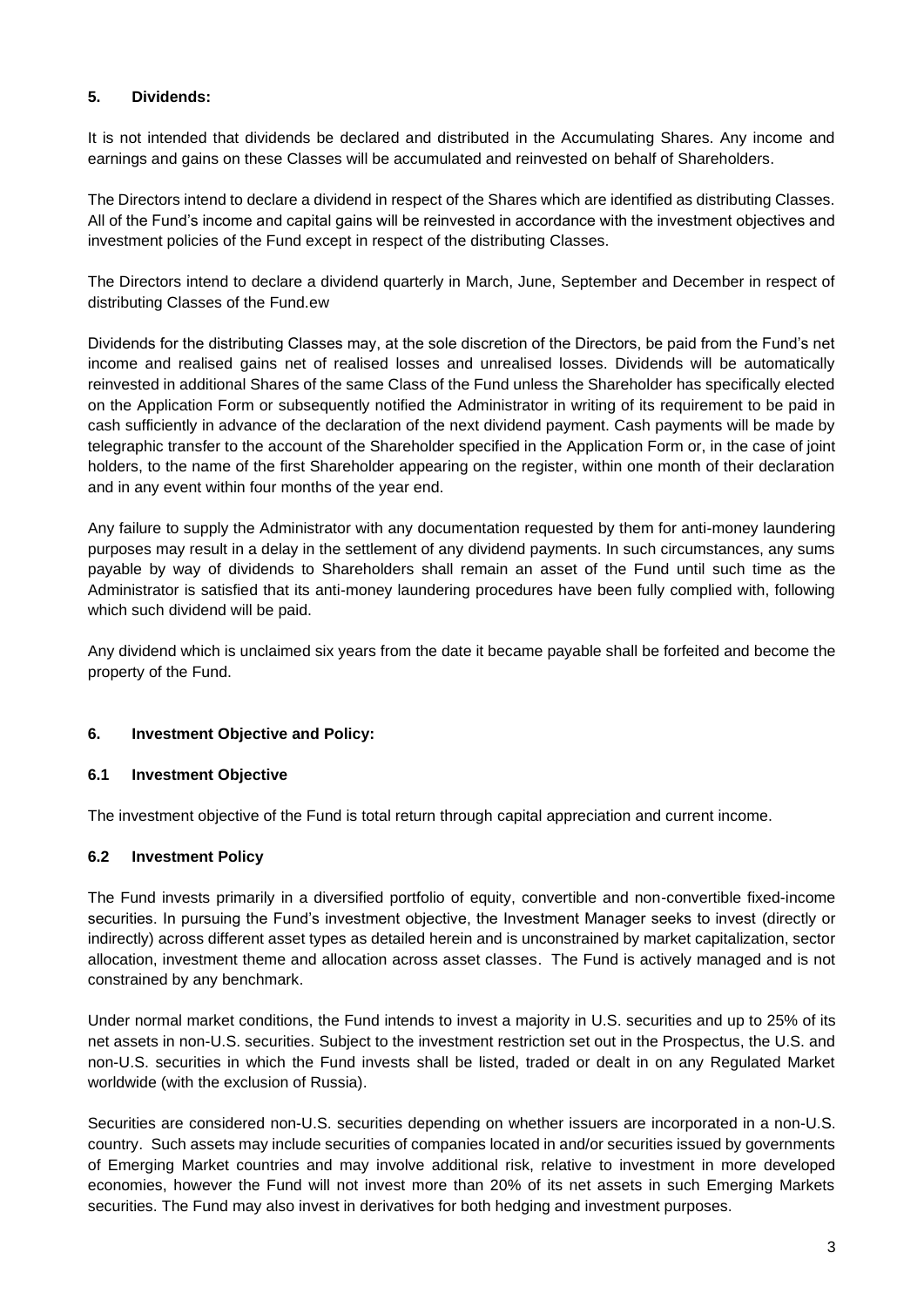## **5. Dividends:**

It is not intended that dividends be declared and distributed in the Accumulating Shares. Any income and earnings and gains on these Classes will be accumulated and reinvested on behalf of Shareholders.

The Directors intend to declare a dividend in respect of the Shares which are identified as distributing Classes. All of the Fund's income and capital gains will be reinvested in accordance with the investment objectives and investment policies of the Fund except in respect of the distributing Classes.

The Directors intend to declare a dividend quarterly in March, June, September and December in respect of distributing Classes of the Fund.ew

Dividends for the distributing Classes may, at the sole discretion of the Directors, be paid from the Fund's net income and realised gains net of realised losses and unrealised losses. Dividends will be automatically reinvested in additional Shares of the same Class of the Fund unless the Shareholder has specifically elected on the Application Form or subsequently notified the Administrator in writing of its requirement to be paid in cash sufficiently in advance of the declaration of the next dividend payment. Cash payments will be made by telegraphic transfer to the account of the Shareholder specified in the Application Form or, in the case of joint holders, to the name of the first Shareholder appearing on the register, within one month of their declaration and in any event within four months of the year end.

Any failure to supply the Administrator with any documentation requested by them for anti-money laundering purposes may result in a delay in the settlement of any dividend payments. In such circumstances, any sums payable by way of dividends to Shareholders shall remain an asset of the Fund until such time as the Administrator is satisfied that its anti-money laundering procedures have been fully complied with, following which such dividend will be paid.

Any dividend which is unclaimed six years from the date it became payable shall be forfeited and become the property of the Fund.

## **6. Investment Objective and Policy:**

## **6.1 Investment Objective**

The investment objective of the Fund is total return through capital appreciation and current income.

## **6.2 Investment Policy**

The Fund invests primarily in a diversified portfolio of equity, convertible and non-convertible fixed-income securities. In pursuing the Fund's investment objective, the Investment Manager seeks to invest (directly or indirectly) across different asset types as detailed herein and is unconstrained by market capitalization, sector allocation, investment theme and allocation across asset classes. The Fund is actively managed and is not constrained by any benchmark.

Under normal market conditions, the Fund intends to invest a majority in U.S. securities and up to 25% of its net assets in non-U.S. securities. Subject to the investment restriction set out in the Prospectus, the U.S. and non-U.S. securities in which the Fund invests shall be listed, traded or dealt in on any Regulated Market worldwide (with the exclusion of Russia).

Securities are considered non-U.S. securities depending on whether issuers are incorporated in a non-U.S. country. Such assets may include securities of companies located in and/or securities issued by governments of Emerging Market countries and may involve additional risk, relative to investment in more developed economies, however the Fund will not invest more than 20% of its net assets in such Emerging Markets securities. The Fund may also invest in derivatives for both hedging and investment purposes.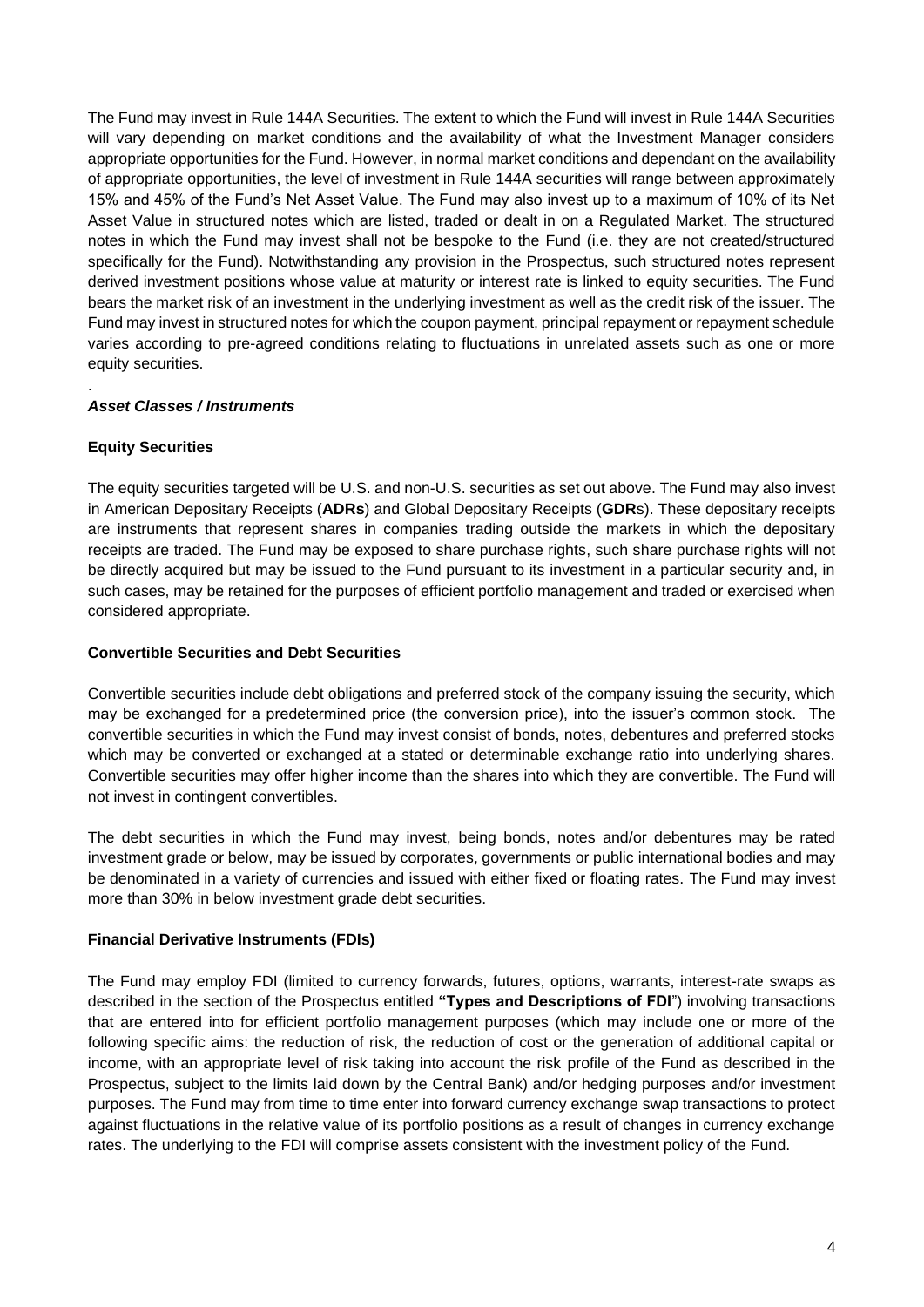The Fund may invest in Rule 144A Securities. The extent to which the Fund will invest in Rule 144A Securities will vary depending on market conditions and the availability of what the Investment Manager considers appropriate opportunities for the Fund. However, in normal market conditions and dependant on the availability of appropriate opportunities, the level of investment in Rule 144A securities will range between approximately 15% and 45% of the Fund's Net Asset Value. The Fund may also invest up to a maximum of 10% of its Net Asset Value in structured notes which are listed, traded or dealt in on a Regulated Market. The structured notes in which the Fund may invest shall not be bespoke to the Fund (i.e. they are not created/structured specifically for the Fund). Notwithstanding any provision in the Prospectus, such structured notes represent derived investment positions whose value at maturity or interest rate is linked to equity securities. The Fund bears the market risk of an investment in the underlying investment as well as the credit risk of the issuer. The Fund may invest in structured notes for which the coupon payment, principal repayment or repayment schedule varies according to pre-agreed conditions relating to fluctuations in unrelated assets such as one or more equity securities.

# *Asset Classes / Instruments*

# **Equity Securities**

.

The equity securities targeted will be U.S. and non-U.S. securities as set out above. The Fund may also invest in American Depositary Receipts (**ADRs**) and Global Depositary Receipts (**GDR**s). These depositary receipts are instruments that represent shares in companies trading outside the markets in which the depositary receipts are traded. The Fund may be exposed to share purchase rights, such share purchase rights will not be directly acquired but may be issued to the Fund pursuant to its investment in a particular security and, in such cases, may be retained for the purposes of efficient portfolio management and traded or exercised when considered appropriate.

# **Convertible Securities and Debt Securities**

Convertible securities include debt obligations and preferred stock of the company issuing the security, which may be exchanged for a predetermined price (the conversion price), into the issuer's common stock. The convertible securities in which the Fund may invest consist of bonds, notes, debentures and preferred stocks which may be converted or exchanged at a stated or determinable exchange ratio into underlying shares. Convertible securities may offer higher income than the shares into which they are convertible. The Fund will not invest in contingent convertibles.

The debt securities in which the Fund may invest, being bonds, notes and/or debentures may be rated investment grade or below, may be issued by corporates, governments or public international bodies and may be denominated in a variety of currencies and issued with either fixed or floating rates. The Fund may invest more than 30% in below investment grade debt securities.

## **Financial Derivative Instruments (FDIs)**

The Fund may employ FDI (limited to currency forwards, futures, options, warrants, interest-rate swaps as described in the section of the Prospectus entitled **"Types and Descriptions of FDI**") involving transactions that are entered into for efficient portfolio management purposes (which may include one or more of the following specific aims: the reduction of risk, the reduction of cost or the generation of additional capital or income, with an appropriate level of risk taking into account the risk profile of the Fund as described in the Prospectus, subject to the limits laid down by the Central Bank) and/or hedging purposes and/or investment purposes. The Fund may from time to time enter into forward currency exchange swap transactions to protect against fluctuations in the relative value of its portfolio positions as a result of changes in currency exchange rates. The underlying to the FDI will comprise assets consistent with the investment policy of the Fund.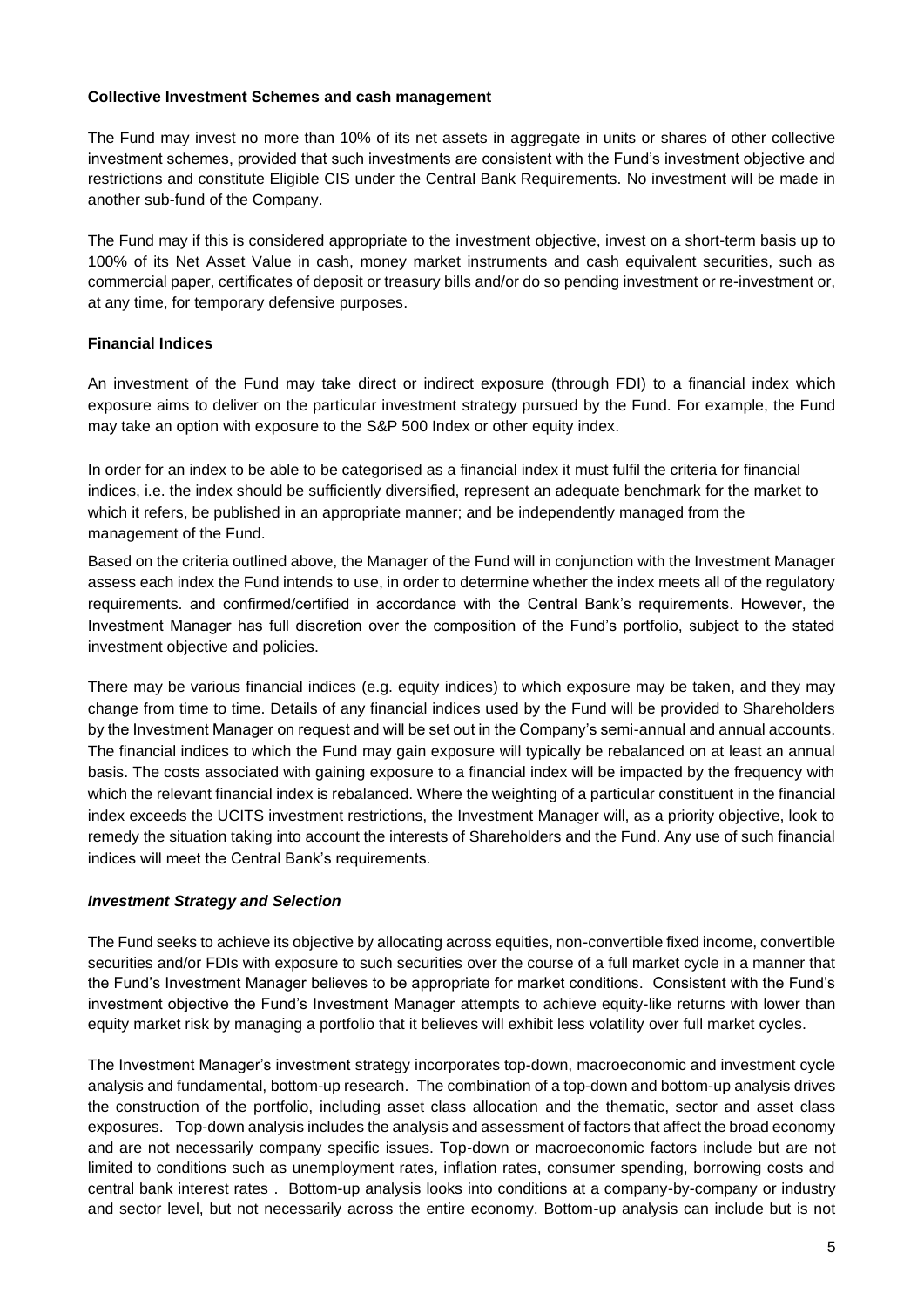## **Collective Investment Schemes and cash management**

The Fund may invest no more than 10% of its net assets in aggregate in units or shares of other collective investment schemes, provided that such investments are consistent with the Fund's investment objective and restrictions and constitute Eligible CIS under the Central Bank Requirements. No investment will be made in another sub-fund of the Company.

The Fund may if this is considered appropriate to the investment objective, invest on a short-term basis up to 100% of its Net Asset Value in cash, money market instruments and cash equivalent securities, such as commercial paper, certificates of deposit or treasury bills and/or do so pending investment or re-investment or, at any time, for temporary defensive purposes.

## **Financial Indices**

An investment of the Fund may take direct or indirect exposure (through FDI) to a financial index which exposure aims to deliver on the particular investment strategy pursued by the Fund. For example, the Fund may take an option with exposure to the S&P 500 Index or other equity index.

In order for an index to be able to be categorised as a financial index it must fulfil the criteria for financial indices, i.e. the index should be sufficiently diversified, represent an adequate benchmark for the market to which it refers, be published in an appropriate manner; and be independently managed from the management of the Fund.

Based on the criteria outlined above, the Manager of the Fund will in conjunction with the Investment Manager assess each index the Fund intends to use, in order to determine whether the index meets all of the regulatory requirements. and confirmed/certified in accordance with the Central Bank's requirements. However, the Investment Manager has full discretion over the composition of the Fund's portfolio, subject to the stated investment objective and policies.

There may be various financial indices (e.g. equity indices) to which exposure may be taken, and they may change from time to time. Details of any financial indices used by the Fund will be provided to Shareholders by the Investment Manager on request and will be set out in the Company's semi-annual and annual accounts. The financial indices to which the Fund may gain exposure will typically be rebalanced on at least an annual basis. The costs associated with gaining exposure to a financial index will be impacted by the frequency with which the relevant financial index is rebalanced. Where the weighting of a particular constituent in the financial index exceeds the UCITS investment restrictions, the Investment Manager will, as a priority objective, look to remedy the situation taking into account the interests of Shareholders and the Fund. Any use of such financial indices will meet the Central Bank's requirements.

## *Investment Strategy and Selection*

The Fund seeks to achieve its objective by allocating across equities, non-convertible fixed income, convertible securities and/or FDIs with exposure to such securities over the course of a full market cycle in a manner that the Fund's Investment Manager believes to be appropriate for market conditions. Consistent with the Fund's investment objective the Fund's Investment Manager attempts to achieve equity-like returns with lower than equity market risk by managing a portfolio that it believes will exhibit less volatility over full market cycles.

The Investment Manager's investment strategy incorporates top-down, macroeconomic and investment cycle analysis and fundamental, bottom-up research. The combination of a top-down and bottom-up analysis drives the construction of the portfolio, including asset class allocation and the thematic, sector and asset class exposures. Top-down analysis includes the analysis and assessment of factors that affect the broad economy and are not necessarily company specific issues. Top-down or macroeconomic factors include but are not limited to conditions such as unemployment rates, inflation rates, consumer spending, borrowing costs and central bank interest rates . Bottom-up analysis looks into conditions at a company-by-company or industry and sector level, but not necessarily across the entire economy. Bottom-up analysis can include but is not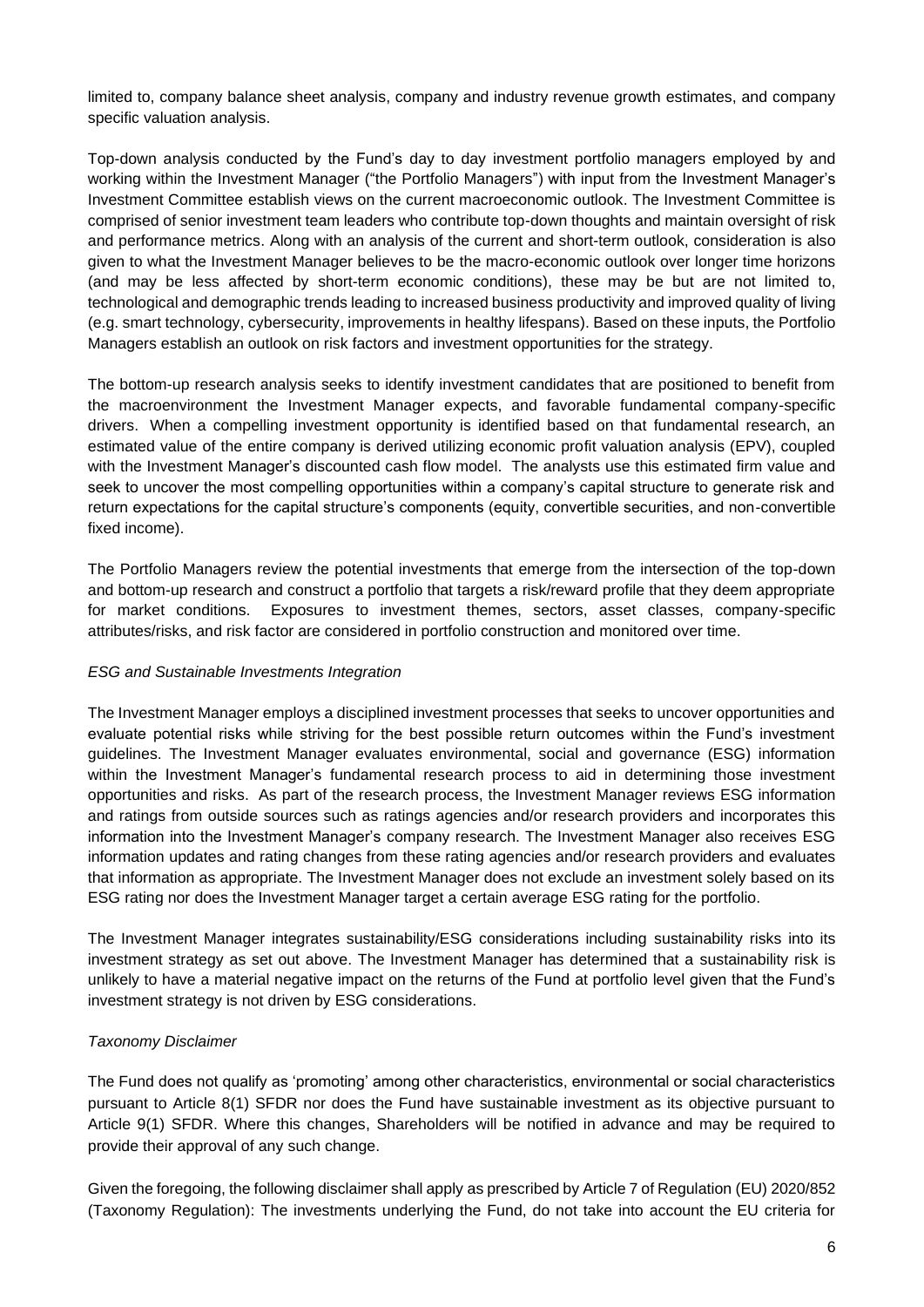limited to, company balance sheet analysis, company and industry revenue growth estimates, and company specific valuation analysis.

Top-down analysis conducted by the Fund's day to day investment portfolio managers employed by and working within the Investment Manager ("the Portfolio Managers") with input from the Investment Manager's Investment Committee establish views on the current macroeconomic outlook. The Investment Committee is comprised of senior investment team leaders who contribute top-down thoughts and maintain oversight of risk and performance metrics. Along with an analysis of the current and short-term outlook, consideration is also given to what the Investment Manager believes to be the macro-economic outlook over longer time horizons (and may be less affected by short-term economic conditions), these may be but are not limited to, technological and demographic trends leading to increased business productivity and improved quality of living (e.g. smart technology, cybersecurity, improvements in healthy lifespans). Based on these inputs, the Portfolio Managers establish an outlook on risk factors and investment opportunities for the strategy.

The bottom-up research analysis seeks to identify investment candidates that are positioned to benefit from the macroenvironment the Investment Manager expects, and favorable fundamental company-specific drivers. When a compelling investment opportunity is identified based on that fundamental research, an estimated value of the entire company is derived utilizing economic profit valuation analysis (EPV), coupled with the Investment Manager's discounted cash flow model. The analysts use this estimated firm value and seek to uncover the most compelling opportunities within a company's capital structure to generate risk and return expectations for the capital structure's components (equity, convertible securities, and non-convertible fixed income).

The Portfolio Managers review the potential investments that emerge from the intersection of the top-down and bottom-up research and construct a portfolio that targets a risk/reward profile that they deem appropriate for market conditions. Exposures to investment themes, sectors, asset classes, company-specific attributes/risks, and risk factor are considered in portfolio construction and monitored over time.

## *ESG and Sustainable Investments Integration*

The Investment Manager employs a disciplined investment processes that seeks to uncover opportunities and evaluate potential risks while striving for the best possible return outcomes within the Fund's investment guidelines. The Investment Manager evaluates environmental, social and governance (ESG) information within the Investment Manager's fundamental research process to aid in determining those investment opportunities and risks. As part of the research process, the Investment Manager reviews ESG information and ratings from outside sources such as ratings agencies and/or research providers and incorporates this information into the Investment Manager's company research. The Investment Manager also receives ESG information updates and rating changes from these rating agencies and/or research providers and evaluates that information as appropriate. The Investment Manager does not exclude an investment solely based on its ESG rating nor does the Investment Manager target a certain average ESG rating for the portfolio.

The Investment Manager integrates sustainability/ESG considerations including sustainability risks into its investment strategy as set out above. The Investment Manager has determined that a sustainability risk is unlikely to have a material negative impact on the returns of the Fund at portfolio level given that the Fund's investment strategy is not driven by ESG considerations.

## *Taxonomy Disclaimer*

The Fund does not qualify as 'promoting' among other characteristics, environmental or social characteristics pursuant to Article 8(1) SFDR nor does the Fund have sustainable investment as its objective pursuant to Article 9(1) SFDR. Where this changes, Shareholders will be notified in advance and may be required to provide their approval of any such change.

Given the foregoing, the following disclaimer shall apply as prescribed by Article 7 of Regulation (EU) 2020/852 (Taxonomy Regulation): The investments underlying the Fund, do not take into account the EU criteria for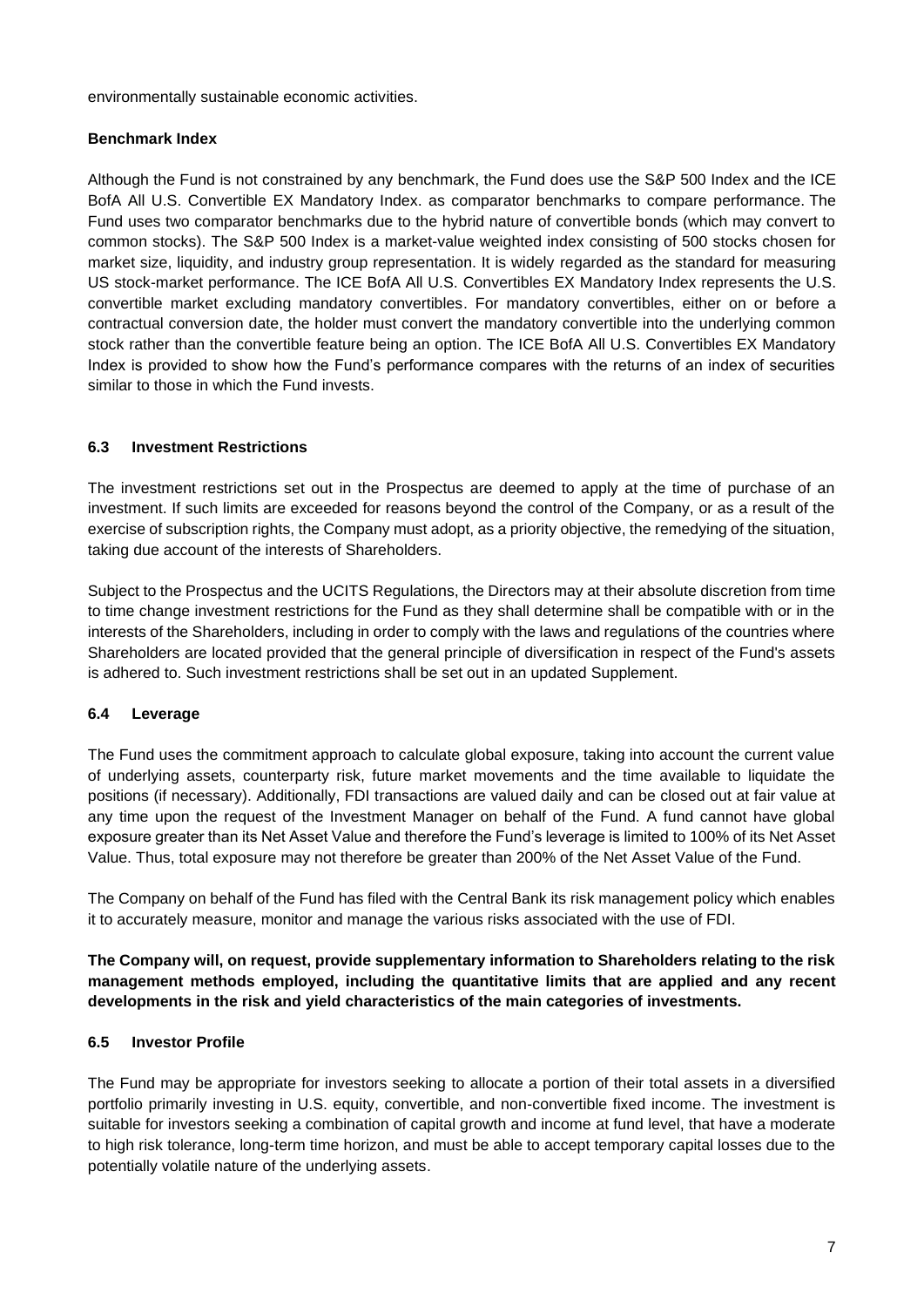environmentally sustainable economic activities.

## **Benchmark Index**

Although the Fund is not constrained by any benchmark, the Fund does use the S&P 500 Index and the ICE BofA All U.S. Convertible EX Mandatory Index. as comparator benchmarks to compare performance. The Fund uses two comparator benchmarks due to the hybrid nature of convertible bonds (which may convert to common stocks). The S&P 500 Index is a market-value weighted index consisting of 500 stocks chosen for market size, liquidity, and industry group representation. It is widely regarded as the standard for measuring US stock-market performance. The ICE BofA All U.S. Convertibles EX Mandatory Index represents the U.S. convertible market excluding mandatory convertibles. For mandatory convertibles, either on or before a contractual conversion date, the holder must convert the mandatory convertible into the underlying common stock rather than the convertible feature being an option. The ICE BofA All U.S. Convertibles EX Mandatory Index is provided to show how the Fund's performance compares with the returns of an index of securities similar to those in which the Fund invests.

# **6.3 Investment Restrictions**

The investment restrictions set out in the Prospectus are deemed to apply at the time of purchase of an investment. If such limits are exceeded for reasons beyond the control of the Company, or as a result of the exercise of subscription rights, the Company must adopt, as a priority objective, the remedying of the situation, taking due account of the interests of Shareholders.

Subject to the Prospectus and the UCITS Regulations, the Directors may at their absolute discretion from time to time change investment restrictions for the Fund as they shall determine shall be compatible with or in the interests of the Shareholders, including in order to comply with the laws and regulations of the countries where Shareholders are located provided that the general principle of diversification in respect of the Fund's assets is adhered to. Such investment restrictions shall be set out in an updated Supplement.

# **6.4 Leverage**

The Fund uses the commitment approach to calculate global exposure, taking into account the current value of underlying assets, counterparty risk, future market movements and the time available to liquidate the positions (if necessary). Additionally, FDI transactions are valued daily and can be closed out at fair value at any time upon the request of the Investment Manager on behalf of the Fund. A fund cannot have global exposure greater than its Net Asset Value and therefore the Fund's leverage is limited to 100% of its Net Asset Value. Thus, total exposure may not therefore be greater than 200% of the Net Asset Value of the Fund.

The Company on behalf of the Fund has filed with the Central Bank its risk management policy which enables it to accurately measure, monitor and manage the various risks associated with the use of FDI.

**The Company will, on request, provide supplementary information to Shareholders relating to the risk management methods employed, including the quantitative limits that are applied and any recent developments in the risk and yield characteristics of the main categories of investments.**

## **6.5 Investor Profile**

The Fund may be appropriate for investors seeking to allocate a portion of their total assets in a diversified portfolio primarily investing in U.S. equity, convertible, and non-convertible fixed income. The investment is suitable for investors seeking a combination of capital growth and income at fund level, that have a moderate to high risk tolerance, long-term time horizon, and must be able to accept temporary capital losses due to the potentially volatile nature of the underlying assets.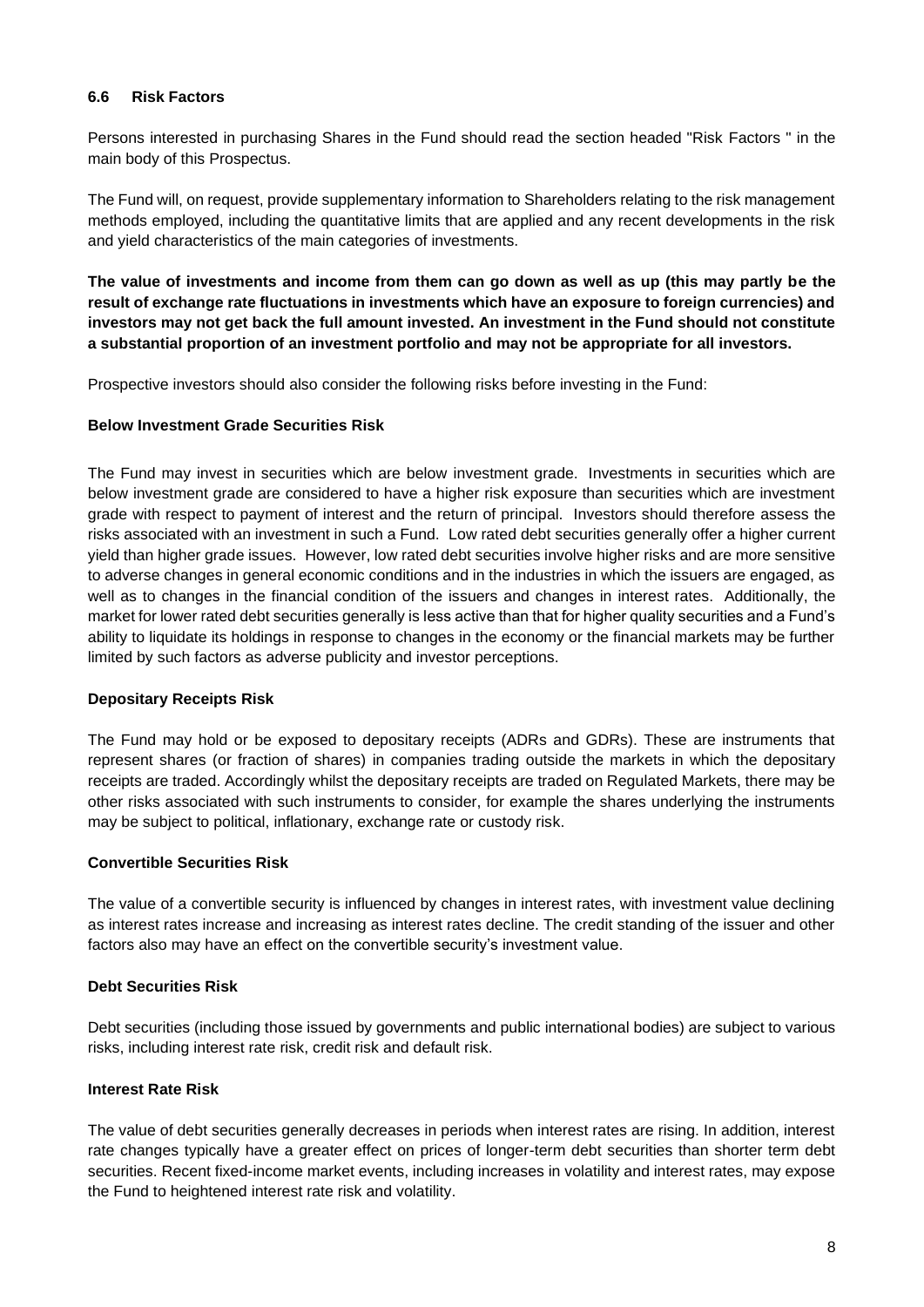## **6.6 Risk Factors**

Persons interested in purchasing Shares in the Fund should read the section headed "Risk Factors " in the main body of this Prospectus.

The Fund will, on request, provide supplementary information to Shareholders relating to the risk management methods employed, including the quantitative limits that are applied and any recent developments in the risk and yield characteristics of the main categories of investments.

**The value of investments and income from them can go down as well as up (this may partly be the result of exchange rate fluctuations in investments which have an exposure to foreign currencies) and investors may not get back the full amount invested. An investment in the Fund should not constitute a substantial proportion of an investment portfolio and may not be appropriate for all investors.** 

Prospective investors should also consider the following risks before investing in the Fund:

## **Below Investment Grade Securities Risk**

The Fund may invest in securities which are below investment grade. Investments in securities which are below investment grade are considered to have a higher risk exposure than securities which are investment grade with respect to payment of interest and the return of principal. Investors should therefore assess the risks associated with an investment in such a Fund. Low rated debt securities generally offer a higher current yield than higher grade issues. However, low rated debt securities involve higher risks and are more sensitive to adverse changes in general economic conditions and in the industries in which the issuers are engaged, as well as to changes in the financial condition of the issuers and changes in interest rates. Additionally, the market for lower rated debt securities generally is less active than that for higher quality securities and a Fund's ability to liquidate its holdings in response to changes in the economy or the financial markets may be further limited by such factors as adverse publicity and investor perceptions.

## **Depositary Receipts Risk**

The Fund may hold or be exposed to depositary receipts (ADRs and GDRs). These are instruments that represent shares (or fraction of shares) in companies trading outside the markets in which the depositary receipts are traded. Accordingly whilst the depositary receipts are traded on Regulated Markets, there may be other risks associated with such instruments to consider, for example the shares underlying the instruments may be subject to political, inflationary, exchange rate or custody risk.

## **Convertible Securities Risk**

The value of a convertible security is influenced by changes in interest rates, with investment value declining as interest rates increase and increasing as interest rates decline. The credit standing of the issuer and other factors also may have an effect on the convertible security's investment value.

## **Debt Securities Risk**

Debt securities (including those issued by governments and public international bodies) are subject to various risks, including interest rate risk, credit risk and default risk.

## **Interest Rate Risk**

The value of debt securities generally decreases in periods when interest rates are rising. In addition, interest rate changes typically have a greater effect on prices of longer-term debt securities than shorter term debt securities. Recent fixed-income market events, including increases in volatility and interest rates, may expose the Fund to heightened interest rate risk and volatility.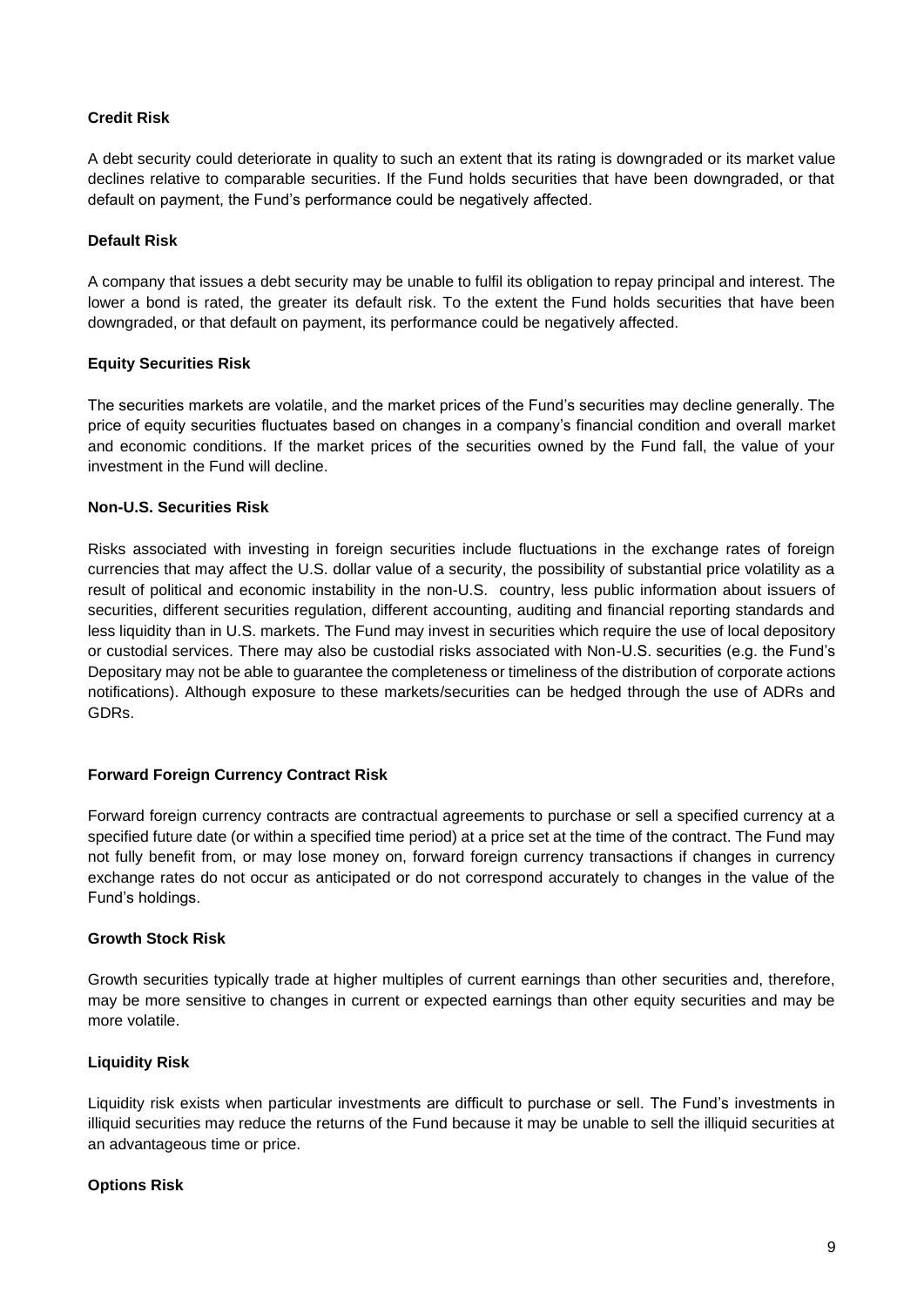## **Credit Risk**

A debt security could deteriorate in quality to such an extent that its rating is downgraded or its market value declines relative to comparable securities. If the Fund holds securities that have been downgraded, or that default on payment, the Fund's performance could be negatively affected.

## **Default Risk**

A company that issues a debt security may be unable to fulfil its obligation to repay principal and interest. The lower a bond is rated, the greater its default risk. To the extent the Fund holds securities that have been downgraded, or that default on payment, its performance could be negatively affected.

## **Equity Securities Risk**

The securities markets are volatile, and the market prices of the Fund's securities may decline generally. The price of equity securities fluctuates based on changes in a company's financial condition and overall market and economic conditions. If the market prices of the securities owned by the Fund fall, the value of your investment in the Fund will decline.

## **Non-U.S. Securities Risk**

Risks associated with investing in foreign securities include fluctuations in the exchange rates of foreign currencies that may affect the U.S. dollar value of a security, the possibility of substantial price volatility as a result of political and economic instability in the non-U.S. country, less public information about issuers of securities, different securities regulation, different accounting, auditing and financial reporting standards and less liquidity than in U.S. markets. The Fund may invest in securities which require the use of local depository or custodial services. There may also be custodial risks associated with Non-U.S. securities (e.g. the Fund's Depositary may not be able to guarantee the completeness or timeliness of the distribution of corporate actions notifications). Although exposure to these markets/securities can be hedged through the use of ADRs and GDRs.

## **Forward Foreign Currency Contract Risk**

Forward foreign currency contracts are contractual agreements to purchase or sell a specified currency at a specified future date (or within a specified time period) at a price set at the time of the contract. The Fund may not fully benefit from, or may lose money on, forward foreign currency transactions if changes in currency exchange rates do not occur as anticipated or do not correspond accurately to changes in the value of the Fund's holdings.

## **Growth Stock Risk**

Growth securities typically trade at higher multiples of current earnings than other securities and, therefore, may be more sensitive to changes in current or expected earnings than other equity securities and may be more volatile.

## **Liquidity Risk**

Liquidity risk exists when particular investments are difficult to purchase or sell. The Fund's investments in illiquid securities may reduce the returns of the Fund because it may be unable to sell the illiquid securities at an advantageous time or price.

## **Options Risk**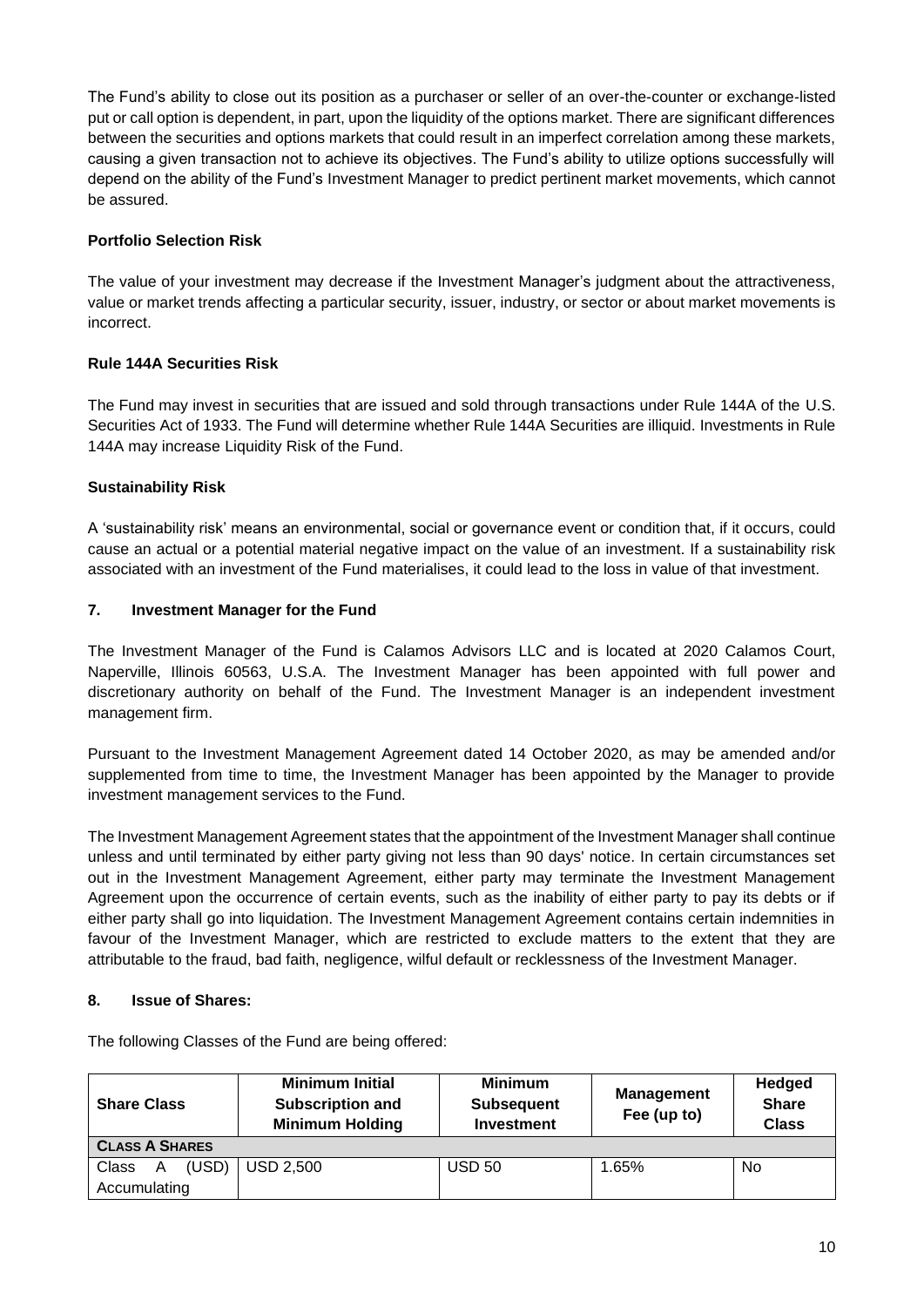The Fund's ability to close out its position as a purchaser or seller of an over-the-counter or exchange-listed put or call option is dependent, in part, upon the liquidity of the options market. There are significant differences between the securities and options markets that could result in an imperfect correlation among these markets, causing a given transaction not to achieve its objectives. The Fund's ability to utilize options successfully will depend on the ability of the Fund's Investment Manager to predict pertinent market movements, which cannot be assured.

# **Portfolio Selection Risk**

The value of your investment may decrease if the Investment Manager's judgment about the attractiveness, value or market trends affecting a particular security, issuer, industry, or sector or about market movements is incorrect.

# **Rule 144A Securities Risk**

The Fund may invest in securities that are issued and sold through transactions under Rule 144A of the U.S. Securities Act of 1933. The Fund will determine whether Rule 144A Securities are illiquid. Investments in Rule 144A may increase Liquidity Risk of the Fund.

# **Sustainability Risk**

A 'sustainability risk' means an environmental, social or governance event or condition that, if it occurs, could cause an actual or a potential material negative impact on the value of an investment. If a sustainability risk associated with an investment of the Fund materialises, it could lead to the loss in value of that investment.

# **7. Investment Manager for the Fund**

The Investment Manager of the Fund is Calamos Advisors LLC and is located at 2020 Calamos Court, Naperville, Illinois 60563, U.S.A. The Investment Manager has been appointed with full power and discretionary authority on behalf of the Fund. The Investment Manager is an independent investment management firm.

Pursuant to the Investment Management Agreement dated 14 October 2020, as may be amended and/or supplemented from time to time, the Investment Manager has been appointed by the Manager to provide investment management services to the Fund.

The Investment Management Agreement states that the appointment of the Investment Manager shall continue unless and until terminated by either party giving not less than 90 days' notice. In certain circumstances set out in the Investment Management Agreement, either party may terminate the Investment Management Agreement upon the occurrence of certain events, such as the inability of either party to pay its debts or if either party shall go into liquidation. The Investment Management Agreement contains certain indemnities in favour of the Investment Manager, which are restricted to exclude matters to the extent that they are attributable to the fraud, bad faith, negligence, wilful default or recklessness of the Investment Manager.

# **8. Issue of Shares:**

| <b>Share Class</b>    | <b>Minimum Initial</b><br><b>Subscription and</b><br><b>Minimum Holding</b> | <b>Minimum</b><br><b>Subsequent</b><br><b>Investment</b> | <b>Management</b><br>Fee (up to) | <b>Hedged</b><br><b>Share</b><br><b>Class</b> |  |  |
|-----------------------|-----------------------------------------------------------------------------|----------------------------------------------------------|----------------------------------|-----------------------------------------------|--|--|
| <b>CLASS A SHARES</b> |                                                                             |                                                          |                                  |                                               |  |  |
| (USD)<br>Class<br>A   | <b>USD 2,500</b>                                                            | <b>USD 50</b>                                            | 1.65%                            | No                                            |  |  |
| Accumulating          |                                                                             |                                                          |                                  |                                               |  |  |

The following Classes of the Fund are being offered: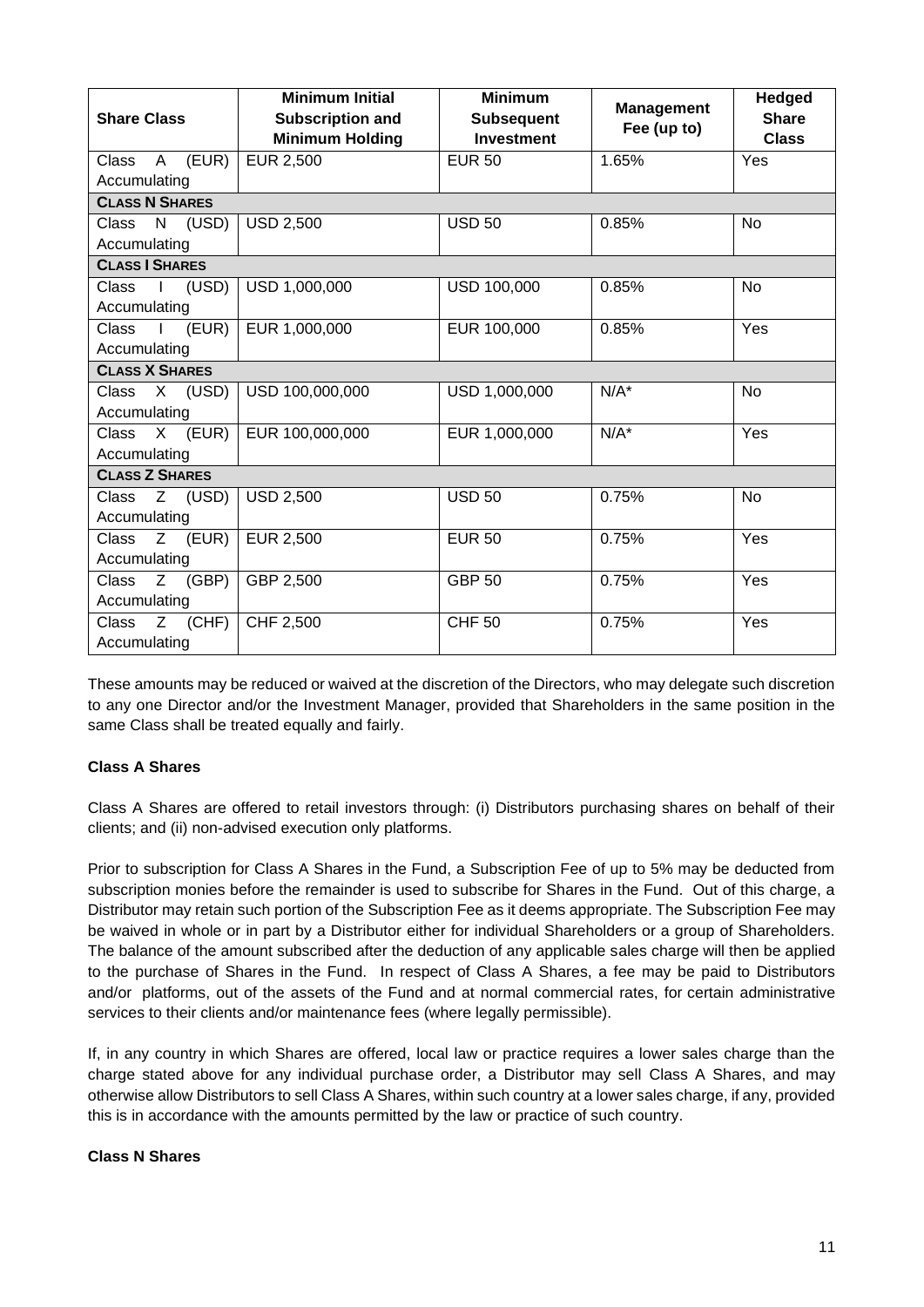| <b>Share Class</b>                    | <b>Minimum Initial</b><br><b>Subscription and</b><br><b>Minimum Holding</b> | <b>Minimum</b><br><b>Subsequent</b><br><b>Investment</b> | <b>Management</b><br>Fee (up to) | <b>Hedged</b><br><b>Share</b><br><b>Class</b> |  |  |
|---------------------------------------|-----------------------------------------------------------------------------|----------------------------------------------------------|----------------------------------|-----------------------------------------------|--|--|
| (EUR)<br>A<br>Class                   | EUR 2,500                                                                   | <b>EUR 50</b>                                            | 1.65%                            | Yes                                           |  |  |
| Accumulating                          |                                                                             |                                                          |                                  |                                               |  |  |
| <b>CLASS N SHARES</b>                 |                                                                             |                                                          |                                  |                                               |  |  |
| $\mathsf{N}$<br>(USD)<br><b>Class</b> | <b>USD 2,500</b>                                                            | <b>USD 50</b>                                            | 0.85%                            | <b>No</b>                                     |  |  |
| Accumulating                          |                                                                             |                                                          |                                  |                                               |  |  |
| <b>CLASS I SHARES</b>                 |                                                                             |                                                          |                                  |                                               |  |  |
| (USD)<br>Class<br>$\mathbf{I}$        | USD 1,000,000                                                               | USD 100,000                                              | 0.85%                            | <b>No</b>                                     |  |  |
| Accumulating                          |                                                                             |                                                          |                                  |                                               |  |  |
| (EUR)<br><b>Class</b>                 | EUR 1,000,000                                                               | EUR 100,000                                              | 0.85%                            | Yes                                           |  |  |
| Accumulating                          |                                                                             |                                                          |                                  |                                               |  |  |
| <b>CLASS X SHARES</b>                 |                                                                             |                                                          |                                  |                                               |  |  |
| $X$ (USD)<br><b>Class</b>             | USD 100,000,000                                                             | USD 1,000,000                                            | $N/A^*$                          | <b>No</b>                                     |  |  |
| Accumulating                          |                                                                             |                                                          |                                  |                                               |  |  |
| $X$ (EUR)<br><b>Class</b>             | EUR 100,000,000                                                             | EUR 1,000,000                                            | $N/A^*$                          | Yes                                           |  |  |
| Accumulating                          |                                                                             |                                                          |                                  |                                               |  |  |
| <b>CLASS Z SHARES</b>                 |                                                                             |                                                          |                                  |                                               |  |  |
| Z (USD)<br>Class                      | <b>USD 2,500</b>                                                            | <b>USD 50</b>                                            | 0.75%                            | <b>No</b>                                     |  |  |
| Accumulating                          |                                                                             |                                                          |                                  |                                               |  |  |
| $\overline{\text{Class}}$ Z (EUR)     | EUR 2,500                                                                   | <b>EUR 50</b>                                            | 0.75%                            | Yes                                           |  |  |
| Accumulating                          |                                                                             |                                                          |                                  |                                               |  |  |
| <b>Class</b><br>$Z$ (GBP)             | GBP 2,500                                                                   | <b>GBP 50</b>                                            | 0.75%                            | Yes                                           |  |  |
| Accumulating                          |                                                                             |                                                          |                                  |                                               |  |  |
| $Z$ (CHF)<br>Class                    | CHF 2,500                                                                   | <b>CHF 50</b>                                            | 0.75%                            | Yes                                           |  |  |
| Accumulating                          |                                                                             |                                                          |                                  |                                               |  |  |

These amounts may be reduced or waived at the discretion of the Directors, who may delegate such discretion to any one Director and/or the Investment Manager, provided that Shareholders in the same position in the same Class shall be treated equally and fairly.

# **Class A Shares**

Class A Shares are offered to retail investors through: (i) Distributors purchasing shares on behalf of their clients; and (ii) non-advised execution only platforms.

Prior to subscription for Class A Shares in the Fund, a Subscription Fee of up to 5% may be deducted from subscription monies before the remainder is used to subscribe for Shares in the Fund. Out of this charge, a Distributor may retain such portion of the Subscription Fee as it deems appropriate. The Subscription Fee may be waived in whole or in part by a Distributor either for individual Shareholders or a group of Shareholders. The balance of the amount subscribed after the deduction of any applicable sales charge will then be applied to the purchase of Shares in the Fund. In respect of Class A Shares, a fee may be paid to Distributors and/or platforms, out of the assets of the Fund and at normal commercial rates, for certain administrative services to their clients and/or maintenance fees (where legally permissible).

If, in any country in which Shares are offered, local law or practice requires a lower sales charge than the charge stated above for any individual purchase order, a Distributor may sell Class A Shares, and may otherwise allow Distributors to sell Class A Shares, within such country at a lower sales charge, if any, provided this is in accordance with the amounts permitted by the law or practice of such country.

## **Class N Shares**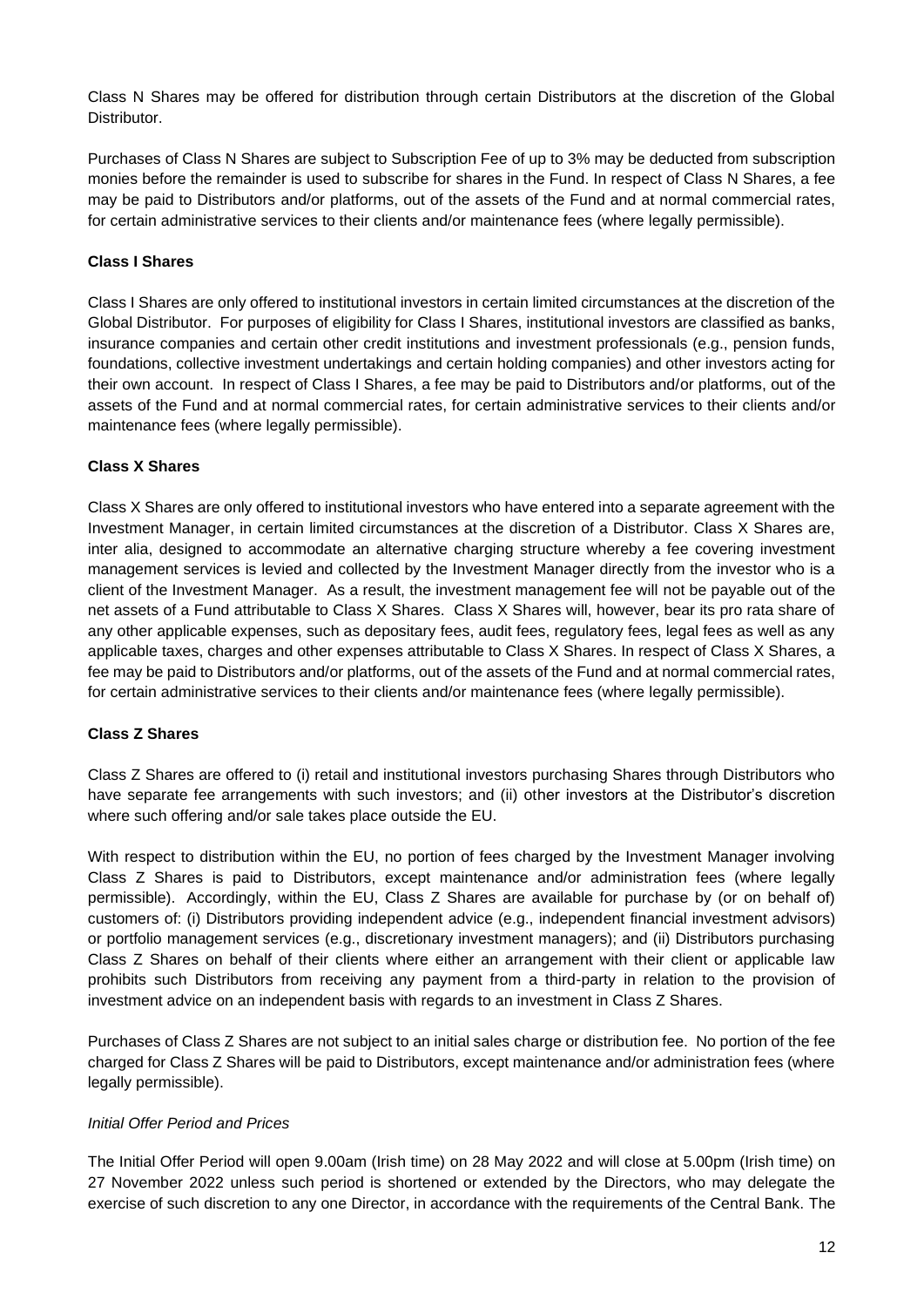Class N Shares may be offered for distribution through certain Distributors at the discretion of the Global Distributor.

Purchases of Class N Shares are subject to Subscription Fee of up to 3% may be deducted from subscription monies before the remainder is used to subscribe for shares in the Fund. In respect of Class N Shares, a fee may be paid to Distributors and/or platforms, out of the assets of the Fund and at normal commercial rates, for certain administrative services to their clients and/or maintenance fees (where legally permissible).

## **Class I Shares**

Class I Shares are only offered to institutional investors in certain limited circumstances at the discretion of the Global Distributor. For purposes of eligibility for Class I Shares, institutional investors are classified as banks, insurance companies and certain other credit institutions and investment professionals (e.g., pension funds, foundations, collective investment undertakings and certain holding companies) and other investors acting for their own account. In respect of Class I Shares, a fee may be paid to Distributors and/or platforms, out of the assets of the Fund and at normal commercial rates, for certain administrative services to their clients and/or maintenance fees (where legally permissible).

## **Class X Shares**

Class X Shares are only offered to institutional investors who have entered into a separate agreement with the Investment Manager, in certain limited circumstances at the discretion of a Distributor. Class X Shares are, inter alia, designed to accommodate an alternative charging structure whereby a fee covering investment management services is levied and collected by the Investment Manager directly from the investor who is a client of the Investment Manager. As a result, the investment management fee will not be payable out of the net assets of a Fund attributable to Class X Shares. Class X Shares will, however, bear its pro rata share of any other applicable expenses, such as depositary fees, audit fees, regulatory fees, legal fees as well as any applicable taxes, charges and other expenses attributable to Class X Shares. In respect of Class X Shares, a fee may be paid to Distributors and/or platforms, out of the assets of the Fund and at normal commercial rates, for certain administrative services to their clients and/or maintenance fees (where legally permissible).

## **Class Z Shares**

Class Z Shares are offered to (i) retail and institutional investors purchasing Shares through Distributors who have separate fee arrangements with such investors; and (ii) other investors at the Distributor's discretion where such offering and/or sale takes place outside the EU.

With respect to distribution within the EU, no portion of fees charged by the Investment Manager involving Class Z Shares is paid to Distributors, except maintenance and/or administration fees (where legally permissible). Accordingly, within the EU, Class Z Shares are available for purchase by (or on behalf of) customers of: (i) Distributors providing independent advice (e.g., independent financial investment advisors) or portfolio management services (e.g., discretionary investment managers); and (ii) Distributors purchasing Class Z Shares on behalf of their clients where either an arrangement with their client or applicable law prohibits such Distributors from receiving any payment from a third-party in relation to the provision of investment advice on an independent basis with regards to an investment in Class Z Shares.

Purchases of Class Z Shares are not subject to an initial sales charge or distribution fee. No portion of the fee charged for Class Z Shares will be paid to Distributors, except maintenance and/or administration fees (where legally permissible).

## *Initial Offer Period and Prices*

The Initial Offer Period will open 9.00am (Irish time) on 28 May 2022 and will close at 5.00pm (Irish time) on 27 November 2022 unless such period is shortened or extended by the Directors, who may delegate the exercise of such discretion to any one Director, in accordance with the requirements of the Central Bank. The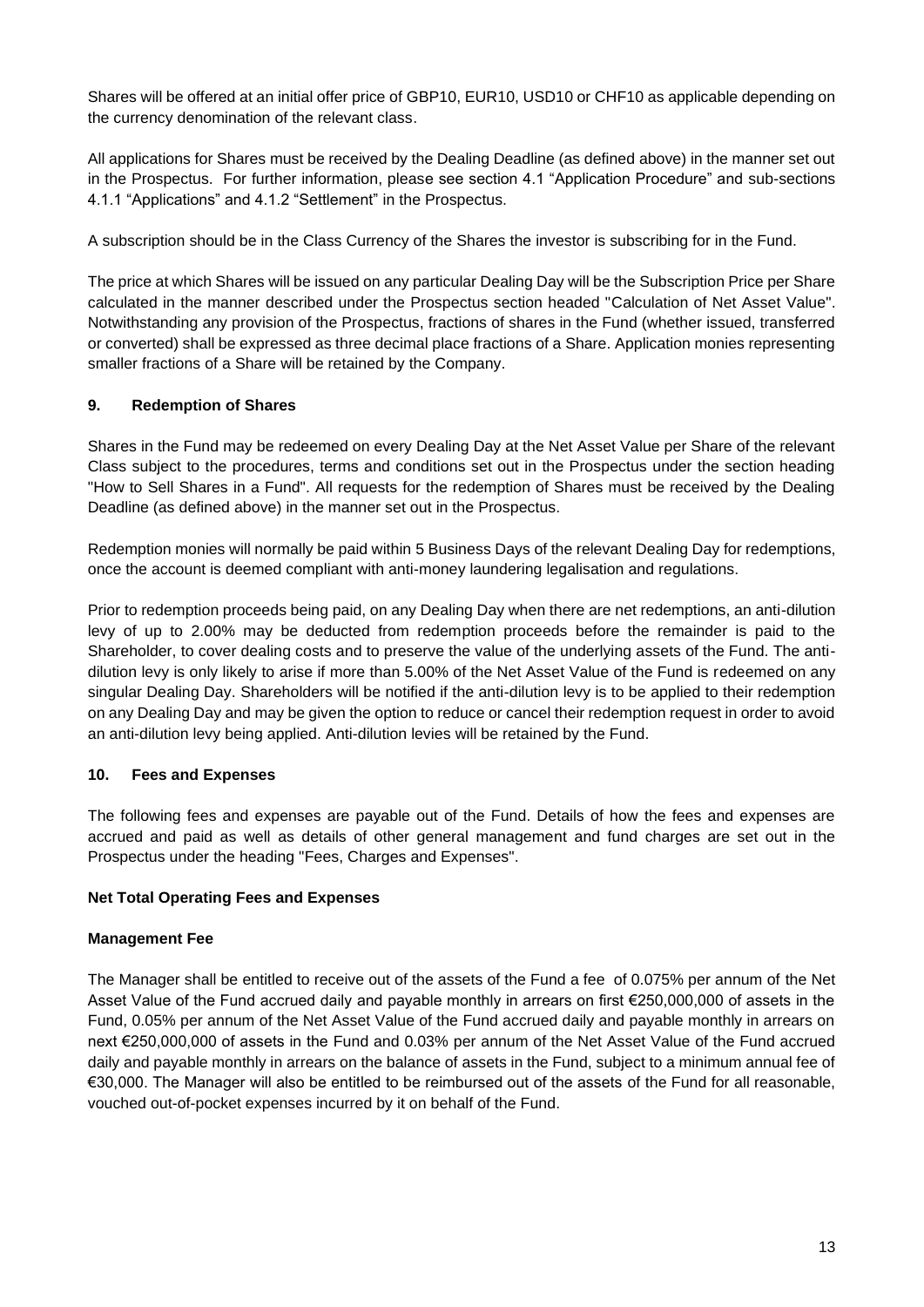Shares will be offered at an initial offer price of GBP10, EUR10, USD10 or CHF10 as applicable depending on the currency denomination of the relevant class.

All applications for Shares must be received by the Dealing Deadline (as defined above) in the manner set out in the Prospectus. For further information, please see section 4.1 "Application Procedure" and sub-sections 4.1.1 "Applications" and 4.1.2 "Settlement" in the Prospectus.

A subscription should be in the Class Currency of the Shares the investor is subscribing for in the Fund.

The price at which Shares will be issued on any particular Dealing Day will be the Subscription Price per Share calculated in the manner described under the Prospectus section headed "Calculation of Net Asset Value". Notwithstanding any provision of the Prospectus, fractions of shares in the Fund (whether issued, transferred or converted) shall be expressed as three decimal place fractions of a Share. Application monies representing smaller fractions of a Share will be retained by the Company.

# **9. Redemption of Shares**

Shares in the Fund may be redeemed on every Dealing Day at the Net Asset Value per Share of the relevant Class subject to the procedures, terms and conditions set out in the Prospectus under the section heading "How to Sell Shares in a Fund". All requests for the redemption of Shares must be received by the Dealing Deadline (as defined above) in the manner set out in the Prospectus.

Redemption monies will normally be paid within 5 Business Days of the relevant Dealing Day for redemptions, once the account is deemed compliant with anti-money laundering legalisation and regulations.

Prior to redemption proceeds being paid, on any Dealing Day when there are net redemptions, an anti-dilution levy of up to 2.00% may be deducted from redemption proceeds before the remainder is paid to the Shareholder, to cover dealing costs and to preserve the value of the underlying assets of the Fund. The antidilution levy is only likely to arise if more than 5.00% of the Net Asset Value of the Fund is redeemed on any singular Dealing Day. Shareholders will be notified if the anti-dilution levy is to be applied to their redemption on any Dealing Day and may be given the option to reduce or cancel their redemption request in order to avoid an anti-dilution levy being applied. Anti-dilution levies will be retained by the Fund.

# **10. Fees and Expenses**

The following fees and expenses are payable out of the Fund. Details of how the fees and expenses are accrued and paid as well as details of other general management and fund charges are set out in the Prospectus under the heading "Fees, Charges and Expenses".

## **Net Total Operating Fees and Expenses**

## **Management Fee**

The Manager shall be entitled to receive out of the assets of the Fund a fee of 0.075% per annum of the Net Asset Value of the Fund accrued daily and payable monthly in arrears on first €250,000,000 of assets in the Fund, 0.05% per annum of the Net Asset Value of the Fund accrued daily and payable monthly in arrears on next €250,000,000 of assets in the Fund and 0.03% per annum of the Net Asset Value of the Fund accrued daily and payable monthly in arrears on the balance of assets in the Fund, subject to a minimum annual fee of €30,000. The Manager will also be entitled to be reimbursed out of the assets of the Fund for all reasonable, vouched out-of-pocket expenses incurred by it on behalf of the Fund.